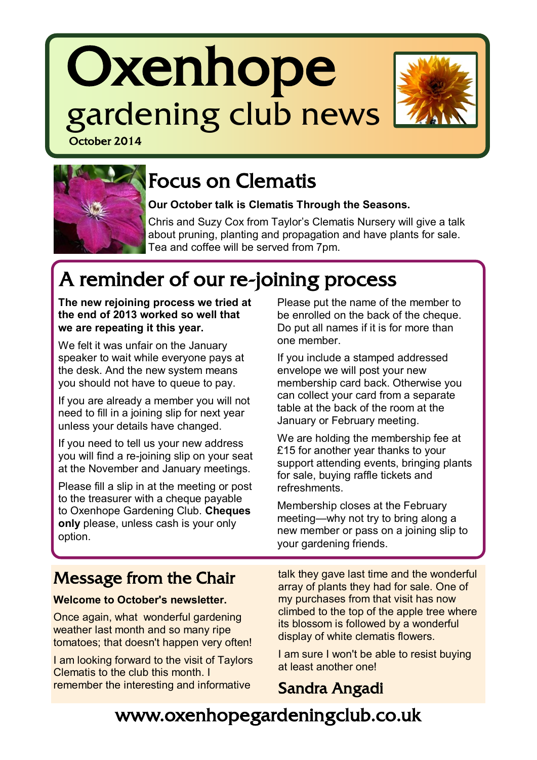# **Oxenhope** gardening club news October 2014





# Focus on Clematis

**Our October talk is Clematis Through the Seasons.** 

Chris and Suzy Cox from Taylor's Clematis Nursery will give a talk about pruning, planting and propagation and have plants for sale. Tea and coffee will be served from 7pm.

# A reminder of our re-joining process

**The new rejoining process we tried at the end of 2013 worked so well that we are repeating it this year.** 

We felt it was unfair on the January speaker to wait while everyone pays at the desk. And the new system means you should not have to queue to pay.

If you are already a member you will not need to fill in a joining slip for next year unless your details have changed.

If you need to tell us your new address you will find a re-joining slip on your seat at the November and January meetings.

Please fill a slip in at the meeting or post to the treasurer with a cheque payable to Oxenhope Gardening Club. **Cheques only** please, unless cash is your only option.

Please put the name of the member to be enrolled on the back of the cheque. Do put all names if it is for more than one member.

If you include a stamped addressed envelope we will post your new membership card back. Otherwise you can collect your card from a separate table at the back of the room at the January or February meeting.

We are holding the membership fee at £15 for another year thanks to your support attending events, bringing plants for sale, buying raffle tickets and refreshments.

Membership closes at the February meeting—why not try to bring along a new member or pass on a joining slip to your gardening friends.

# Message from the Chair

#### **Welcome to October's newsletter.**

Once again, what wonderful gardening weather last month and so many ripe tomatoes; that doesn't happen very often!

I am looking forward to the visit of Taylors Clematis to the club this month. I remember the interesting and informative

talk they gave last time and the wonderful array of plants they had for sale. One of my purchases from that visit has now climbed to the top of the apple tree where its blossom is followed by a wonderful display of white clematis flowers.

I am sure I won't be able to resist buying at least another one!

### Sandra Angadi

# www.oxenhopegardeningclub.co.uk